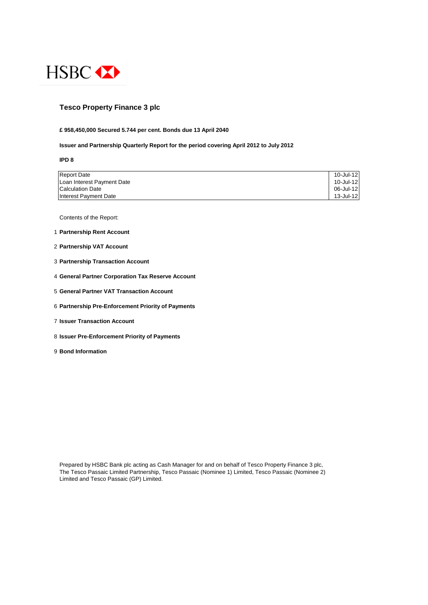

## **Tesco Property Finance 3 plc**

#### **£ 958,450,000 Secured 5.744 per cent. Bonds due 13 April 2040**

#### **Issuer and Partnership Quarterly Report for the period covering April 2012 to July 2012**

**IPD 8**

| <b>Report Date</b>         | 10-Jul-12 |
|----------------------------|-----------|
| Loan Interest Payment Date | 10-Jul-12 |
| <b>Calculation Date</b>    | 06-Jul-12 |
| Interest Payment Date      | 13-Jul-12 |

Contents of the Report:

- 1 **Partnership Rent Account**
- 2 **Partnership VAT Account**
- 3 **Partnership Transaction Account**
- 4 **General Partner Corporation Tax Reserve Account**
- 5 **General Partner VAT Transaction Account**
- 6 **Partnership Pre-Enforcement Priority of Payments**
- 7 **Issuer Transaction Account**
- 8 **Issuer Pre-Enforcement Priority of Payments**
- 9 **Bond Information**

Prepared by HSBC Bank plc acting as Cash Manager for and on behalf of Tesco Property Finance 3 plc, The Tesco Passaic Limited Partnership, Tesco Passaic (Nominee 1) Limited, Tesco Passaic (Nominee 2) Limited and Tesco Passaic (GP) Limited.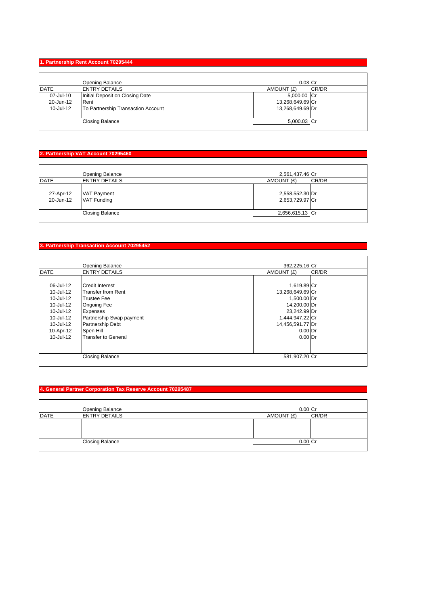#### **1. Partnership Rent Account 70295444**

|             | Opening Balance                    | $0.03$ Cr        |       |
|-------------|------------------------------------|------------------|-------|
| <b>DATE</b> | <b>ENTRY DETAILS</b>               | AMOUNT (£)       | CR/DR |
| 07-Jul-10   | Initial Deposit on Closing Date    | 5,000.00 Cr      |       |
| 20-Jun-12   | Rent                               | 13,268,649.69 Cr |       |
| 10-Jul-12   | To Partnership Transaction Account | 13,268,649.69 Dr |       |
|             | <b>Closing Balance</b>             | 5,000.03 Cr      |       |

## **2. Partnership VAT Account 70295460**

| <b>DATE</b>            | Opening Balance<br><b>ENTRY DETAILS</b>  | 2,561,437.46 Cr<br>AMOUNT (£)      | CR/DR |
|------------------------|------------------------------------------|------------------------------------|-------|
| 27-Apr-12<br>20-Jun-12 | <b>VAT Payment</b><br><b>VAT Funding</b> | 2,558,552.30 Dr<br>2,653,729.97 Cr |       |
|                        | <b>Closing Balance</b>                   | 2,656,615.13 Cr                    |       |

## **3. Partnership Transaction Account 70295452**

|               | Opening Balance            | 362,225.16 Cr    |       |
|---------------|----------------------------|------------------|-------|
| <b>DATE</b>   | <b>ENTRY DETAILS</b>       | AMOUNT (£)       | CR/DR |
|               |                            |                  |       |
| 06-Jul-12     | <b>Credit Interest</b>     | 1,619.89 Cr      |       |
| 10-Jul-12     | <b>Transfer from Rent</b>  | 13,268,649.69 Cr |       |
| 10-Jul-12     | <b>Trustee Fee</b>         | 1,500.00 Dr      |       |
| 10-Jul-12     | <b>Ongoing Fee</b>         | 14,200.00 Dr     |       |
| 10-Jul-12     | Expenses                   | 23,242.99 Dr     |       |
| 10-Jul-12     | Partnership Swap payment   | 1,444,947.22 Cr  |       |
| 10-Jul-12     | Partnership Debt           | 14,456,591.77 Dr |       |
| 10-Apr-12     | Spen Hill                  | $0.00$ Dr        |       |
| $10 -$ Jul-12 | <b>Transfer to General</b> | $0.00$ Dr        |       |
|               |                            |                  |       |
|               |                            |                  |       |
|               | <b>Closing Balance</b>     | 581,907.20 Cr    |       |
|               |                            |                  |       |

## **4. General Partner Corporation Tax Reserve Account 70295487**

|             | Opening Balance        | $0.00$ Cr  |       |
|-------------|------------------------|------------|-------|
| <b>DATE</b> | <b>ENTRY DETAILS</b>   | AMOUNT (£) | CR/DR |
|             |                        |            |       |
|             | <b>Closing Balance</b> | 0.00 Cr    |       |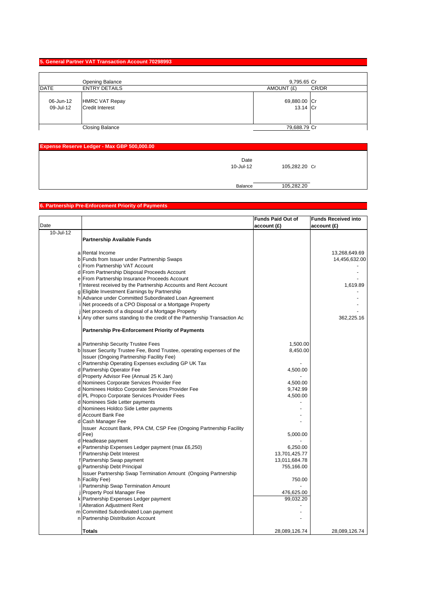#### **5. General Partner VAT Transaction Account 70298993**

|                        | Opening Balance                                 | 9,795.65 Cr              |
|------------------------|-------------------------------------------------|--------------------------|
| <b>DATE</b>            | <b>ENTRY DETAILS</b>                            | CR/DR<br>AMOUNT (£)      |
| 06-Jun-12<br>09-Jul-12 | <b>HMRC VAT Repay</b><br><b>Credit Interest</b> | 69,880.00 Cr<br>13.14 Cr |
|                        | <b>Closing Balance</b>                          | 79,688.79 Cr             |

| Expense Reserve Ledger - Max GBP 500,000.00 |               |  |
|---------------------------------------------|---------------|--|
| Date<br>10-Jul-12                           | 105,282.20 Cr |  |
| Balance                                     | 105,282.20    |  |

# **6. Partnership Pre-Enforcement Priority of Payments**

|           |                                                                           | <b>Funds Paid Out of</b> | <b>Funds Received into</b> |
|-----------|---------------------------------------------------------------------------|--------------------------|----------------------------|
| Date      |                                                                           | account(f)               | account (£)                |
| 10-Jul-12 |                                                                           |                          |                            |
|           | <b>Partnership Available Funds</b>                                        |                          |                            |
|           |                                                                           |                          |                            |
|           | a Rental Income                                                           |                          | 13,268,649.69              |
|           | b Funds from Issuer under Partnership Swaps                               |                          | 14,456,632.00              |
|           | c From Partnership VAT Account                                            |                          |                            |
|           | d From Partnership Disposal Proceeds Account                              |                          |                            |
|           | e From Partnership Insurance Proceeds Account                             |                          |                            |
|           | f Interest received by the Partnership Accounts and Rent Account          |                          | 1,619.89                   |
|           | g Eligible Investment Earnings by Partnership                             |                          |                            |
|           | h Advance under Committed Subordinated Loan Agreement                     |                          |                            |
|           | Net proceeds of a CPO Disposal or a Mortgage Property                     |                          |                            |
|           | Net proceeds of a disposal of a Mortgage Property                         |                          |                            |
|           | k Any other sums standing to the credit of the Partnership Transaction Ac |                          | 362,225.16                 |
|           |                                                                           |                          |                            |
|           | <b>Partnership Pre-Enforcement Priority of Payments</b>                   |                          |                            |
|           | a Partnership Security Trustee Fees                                       | 1,500.00                 |                            |
|           | b Issuer Security Trustee Fee, Bond Trustee, operating expenses of the    | 8,450.00                 |                            |
|           | Issuer (Ongoing Partnership Facility Fee)                                 |                          |                            |
|           | c Partnership Operating Expenses excluding GP UK Tax                      |                          |                            |
|           | d Partnership Operator Fee                                                | 4,500.00                 |                            |
|           | d Property Advisor Fee (Annual 25 K Jan)                                  |                          |                            |
|           | d Nominees Corporate Services Provider Fee                                | 4,500.00                 |                            |
|           | d Nominees Holdco Corporate Services Provider Fee                         | 9,742.99                 |                            |
|           | d PL Propco Corporate Services Provider Fees                              | 4,500.00                 |                            |
|           | d Nominees Side Letter payments                                           |                          |                            |
|           | d Nominees Holdco Side Letter payments                                    |                          |                            |
|           | d Account Bank Fee                                                        |                          |                            |
|           | d Cash Manager Fee                                                        |                          |                            |
|           | Issuer Account Bank, PPA CM, CSP Fee (Ongoing Partnership Facility        |                          |                            |
|           | d Fee)                                                                    | 5,000.00                 |                            |
|           | d Headlease payment                                                       |                          |                            |
|           | e Partnership Expenses Ledger payment (max £6,250)                        | 6,250.00                 |                            |
|           | f Partnership Debt Interest                                               | 13,701,425.77            |                            |
|           | f Partnership Swap payment                                                | 13,011,684.78            |                            |
|           | g Partnership Debt Principal                                              | 755,166.00               |                            |
|           | <b>Issuer Partnership Swap Termination Amount (Ongoing Partnership</b>    |                          |                            |
|           | h Facility Fee)                                                           | 750.00                   |                            |
|           | Partnership Swap Termination Amount                                       |                          |                            |
|           | j Property Pool Manager Fee                                               | 476,625.00               |                            |
|           | k Partnership Expenses Ledger payment                                     | 99,032.20                |                            |
|           | Alteration Adjustment Rent                                                |                          |                            |
|           | m Committed Subordinated Loan payment                                     |                          |                            |
|           | n Partnership Distribution Account                                        |                          |                            |
|           |                                                                           |                          |                            |
|           | Totals                                                                    | 28,089,126.74            | 28,089,126.74              |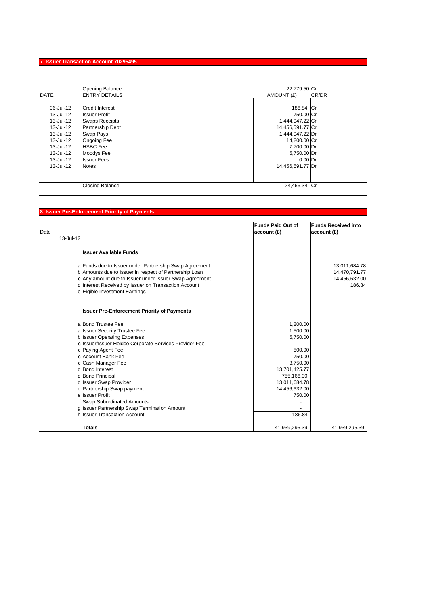## **7. Issuer Transaction Account 70295495**

|             | Opening Balance        | 22,779.50 Cr        |
|-------------|------------------------|---------------------|
| <b>DATE</b> | <b>ENTRY DETAILS</b>   | CR/DR<br>AMOUNT (£) |
|             |                        |                     |
| 06-Jul-12   | Credit Interest        | 186.84 Cr           |
| 13-Jul-12   | <b>Issuer Profit</b>   | 750.00 Cr           |
| 13-Jul-12   | <b>Swaps Receipts</b>  | 1,444,947.22 Cr     |
| 13-Jul-12   | Partnership Debt       | 14,456,591.77 Cr    |
| 13-Jul-12   | Swap Pays              | 1,444,947.22 Dr     |
| 13-Jul-12   | <b>Ongoing Fee</b>     | 14,200.00 Cr        |
| 13-Jul-12   | <b>HSBC</b> Fee        | 7,700.00 Dr         |
| 13-Jul-12   | Moodys Fee             | 5,750.00 Dr         |
| 13-Jul-12   | <b>Issuer Fees</b>     | $0.00$ Dr           |
| 13-Jul-12   | <b>Notes</b>           | 14,456,591.77 Dr    |
|             |                        |                     |
|             | <b>Closing Balance</b> | 24,466.34 Cr        |
|             |                        |                     |

## **8. Issuer Pre-Enforcement Priority of Payments**

| Date          |                                                        | <b>Funds Paid Out of</b><br>account(E) | <b>Funds Received into</b><br>account(E) |
|---------------|--------------------------------------------------------|----------------------------------------|------------------------------------------|
| $13 -$ Jul-12 |                                                        |                                        |                                          |
|               | <b>Issuer Available Funds</b>                          |                                        |                                          |
|               | a Funds due to Issuer under Partnership Swap Agreement |                                        | 13,011,684.78                            |
|               | b Amounts due to Issuer in respect of Partnership Loan |                                        | 14,470,791.77                            |
|               | c Any amount due to Issuer under Issuer Swap Agreement |                                        | 14,456,632.00                            |
|               | d Interest Received by Issuer on Transaction Account   |                                        | 186.84                                   |
|               | e Eigible Investment Earnings                          |                                        |                                          |
|               | <b>Issuer Pre-Enforcement Priority of Payments</b>     |                                        |                                          |
|               | a Bond Trustee Fee                                     | 1,200.00                               |                                          |
|               | a Issuer Security Trustee Fee                          | 1,500.00                               |                                          |
|               | b Issuer Operating Expenses                            | 5,750.00                               |                                          |
|               | c Issuer/Issuer Holdco Corporate Services Provider Fee |                                        |                                          |
|               | c Paying Agent Fee                                     | 500.00                                 |                                          |
|               | c Account Bank Fee                                     | 750.00                                 |                                          |
|               | c Cash Manager Fee                                     | 3,750.00                               |                                          |
|               | d Bond Interest                                        | 13,701,425.77                          |                                          |
|               | d Bond Principal                                       | 755,166.00                             |                                          |
|               | d Issuer Swap Provider                                 | 13,011,684.78                          |                                          |
|               | d Partnership Swap payment                             | 14,456,632.00                          |                                          |
|               | e Issuer Profit                                        | 750.00                                 |                                          |
|               | f Swap Subordinated Amounts                            |                                        |                                          |
|               | g Issuer Partnership Swap Termination Amount           |                                        |                                          |
|               | h Issuer Transaction Account                           | 186.84                                 |                                          |
|               | Totals                                                 | 41,939,295.39                          | 41,939,295.39                            |